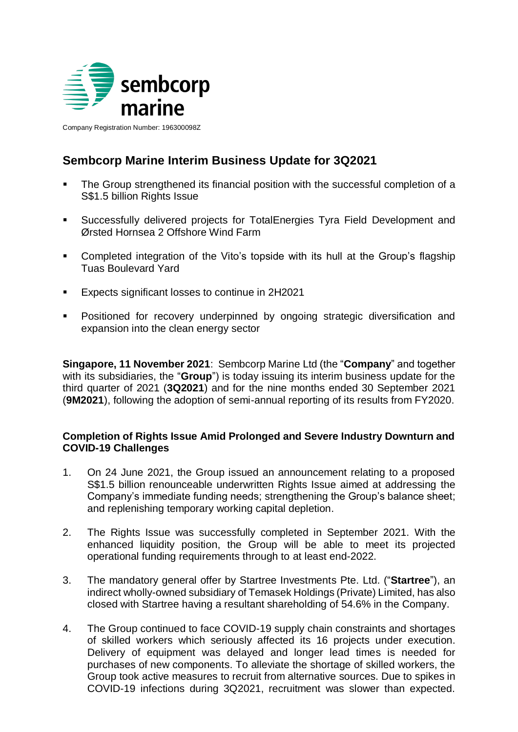

Company Registration Number: 196300098Z

# **Sembcorp Marine Interim Business Update for 3Q2021**

- The Group strengthened its financial position with the successful completion of a S\$1.5 billion Rights Issue
- Successfully delivered projects for TotalEnergies Tyra Field Development and Ørsted Hornsea 2 Offshore Wind Farm
- Completed integration of the Vito's topside with its hull at the Group's flagship Tuas Boulevard Yard
- **Expects significant losses to continue in 2H2021**
- **Positioned for recovery underpinned by ongoing strategic diversification and** expansion into the clean energy sector

**Singapore, 11 November 2021**: Sembcorp Marine Ltd (the "**Company**" and together with its subsidiaries, the "**Group**") is today issuing its interim business update for the third quarter of 2021 (**3Q2021**) and for the nine months ended 30 September 2021 (**9M2021**), following the adoption of semi-annual reporting of its results from FY2020.

# **Completion of Rights Issue Amid Prolonged and Severe Industry Downturn and COVID-19 Challenges**

- 1. On 24 June 2021, the Group issued an announcement relating to a proposed S\$1.5 billion renounceable underwritten Rights Issue aimed at addressing the Company's immediate funding needs; strengthening the Group's balance sheet; and replenishing temporary working capital depletion.
- 2. The Rights Issue was successfully completed in September 2021. With the enhanced liquidity position, the Group will be able to meet its projected operational funding requirements through to at least end-2022.
- 3. The mandatory general offer by Startree Investments Pte. Ltd. ("**Startree**"), an indirect wholly-owned subsidiary of Temasek Holdings (Private) Limited, has also closed with Startree having a resultant shareholding of 54.6% in the Company.
- 4. The Group continued to face COVID-19 supply chain constraints and shortages of skilled workers which seriously affected its 16 projects under execution. Delivery of equipment was delayed and longer lead times is needed for purchases of new components. To alleviate the shortage of skilled workers, the Group took active measures to recruit from alternative sources. Due to spikes in COVID-19 infections during 3Q2021, recruitment was slower than expected.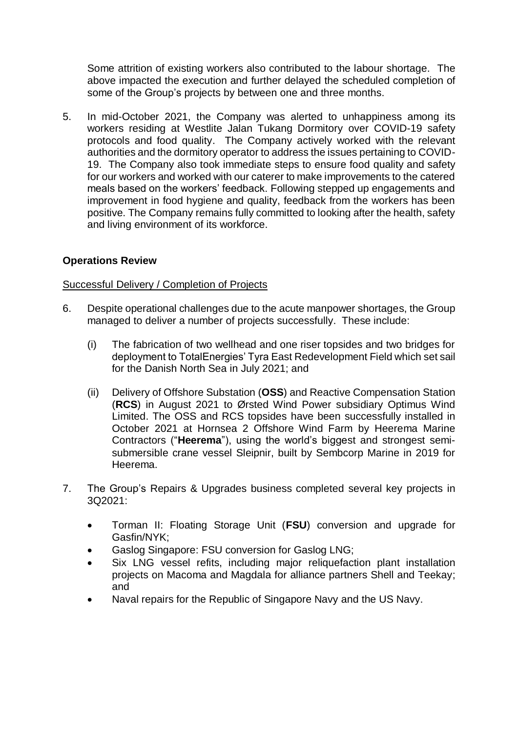Some attrition of existing workers also contributed to the labour shortage. The above impacted the execution and further delayed the scheduled completion of some of the Group's projects by between one and three months.

5. In mid-October 2021, the Company was alerted to unhappiness among its workers residing at Westlite Jalan Tukang Dormitory over COVID-19 safety protocols and food quality. The Company actively worked with the relevant authorities and the dormitory operator to address the issues pertaining to COVID-19. The Company also took immediate steps to ensure food quality and safety for our workers and worked with our caterer to make improvements to the catered meals based on the workers' feedback. Following stepped up engagements and improvement in food hygiene and quality, feedback from the workers has been positive. The Company remains fully committed to looking after the health, safety and living environment of its workforce.

# **Operations Review**

#### Successful Delivery / Completion of Projects

- 6. Despite operational challenges due to the acute manpower shortages, the Group managed to deliver a number of projects successfully. These include:
	- (i) The fabrication of two wellhead and one riser topsides and two bridges for deployment to TotalEnergies' Tyra East Redevelopment Field which set sail for the Danish North Sea in July 2021; and
	- (ii) Delivery of Offshore Substation (**OSS**) and Reactive Compensation Station (**RCS**) in August 2021 to Ørsted Wind Power subsidiary Optimus Wind Limited. The OSS and RCS topsides have been successfully installed in October 2021 at Hornsea 2 Offshore Wind Farm by Heerema Marine Contractors ("**Heerema**"), using the world's biggest and strongest semisubmersible crane vessel Sleipnir, built by Sembcorp Marine in 2019 for Heerema.
- 7. The Group's Repairs & Upgrades business completed several key projects in 3Q2021:
	- Torman II: Floating Storage Unit (**FSU**) conversion and upgrade for Gasfin/NYK;
	- Gaslog Singapore: FSU conversion for Gaslog LNG;
	- Six LNG vessel refits, including major reliquefaction plant installation projects on Macoma and Magdala for alliance partners Shell and Teekay; and
	- Naval repairs for the Republic of Singapore Navy and the US Navy.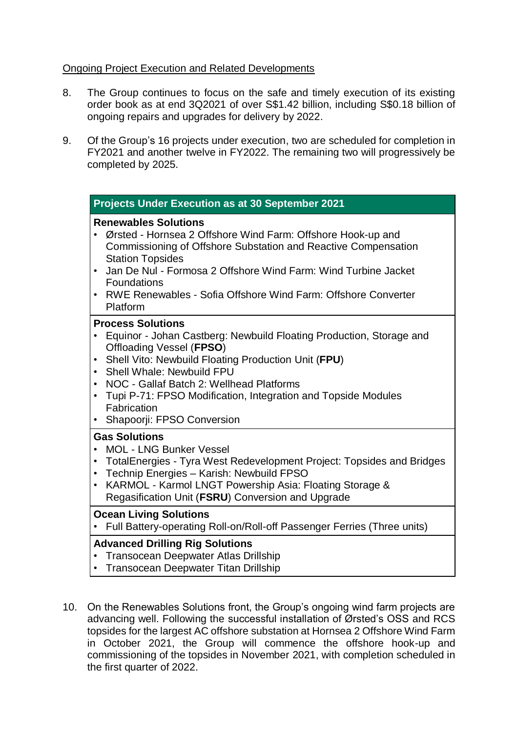# Ongoing Project Execution and Related Developments

- 8. The Group continues to focus on the safe and timely execution of its existing order book as at end 3Q2021 of over S\$1.42 billion, including S\$0.18 billion of ongoing repairs and upgrades for delivery by 2022.
- 9. Of the Group's 16 projects under execution, two are scheduled for completion in FY2021 and another twelve in FY2022. The remaining two will progressively be completed by 2025.

| Projects Under Execution as at 30 September 2021                                                                                                                                                                                                                                                                                                                                                      |  |
|-------------------------------------------------------------------------------------------------------------------------------------------------------------------------------------------------------------------------------------------------------------------------------------------------------------------------------------------------------------------------------------------------------|--|
| <b>Renewables Solutions</b><br>Ørsted - Hornsea 2 Offshore Wind Farm: Offshore Hook-up and<br>Commissioning of Offshore Substation and Reactive Compensation<br><b>Station Topsides</b><br>Jan De Nul - Formosa 2 Offshore Wind Farm: Wind Turbine Jacket<br><b>Foundations</b><br>RWE Renewables - Sofia Offshore Wind Farm: Offshore Converter<br>Platform                                          |  |
| <b>Process Solutions</b><br>Equinor - Johan Castberg: Newbuild Floating Production, Storage and<br>Offloading Vessel (FPSO)<br>Shell Vito: Newbuild Floating Production Unit (FPU)<br>$\bullet$<br>Shell Whale: Newbuild FPU<br>• NOC - Gallaf Batch 2: Wellhead Platforms<br>Tupi P-71: FPSO Modification, Integration and Topside Modules<br>$\bullet$<br>Fabrication<br>Shapoorji: FPSO Conversion |  |
| <b>Gas Solutions</b><br><b>MOL - LNG Bunker Vessel</b><br>TotalEnergies - Tyra West Redevelopment Project: Topsides and Bridges<br>$\bullet$<br>Technip Energies - Karish: Newbuild FPSO<br>KARMOL - Karmol LNGT Powership Asia: Floating Storage &<br>$\bullet$<br>Regasification Unit (FSRU) Conversion and Upgrade                                                                                 |  |
| <b>Ocean Living Solutions</b><br>Full Battery-operating Roll-on/Roll-off Passenger Ferries (Three units)                                                                                                                                                                                                                                                                                              |  |

# **Advanced Drilling Rig Solutions**

- Transocean Deepwater Atlas Drillship
- Transocean Deepwater Titan Drillship
- 10. On the Renewables Solutions front, the Group's ongoing wind farm projects are advancing well. Following the successful installation of Ørsted's OSS and RCS topsides for the largest AC offshore substation at Hornsea 2 Offshore Wind Farm in October 2021, the Group will commence the offshore hook-up and commissioning of the topsides in November 2021, with completion scheduled in the first quarter of 2022.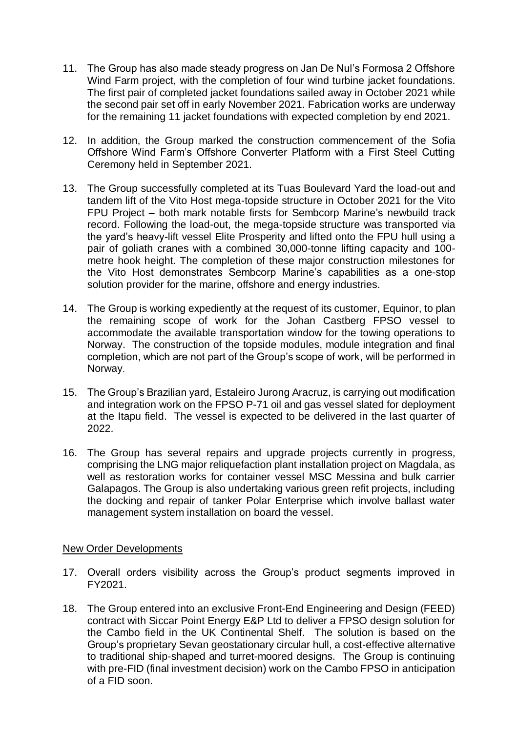- 11. The Group has also made steady progress on Jan De Nul's Formosa 2 Offshore Wind Farm project, with the completion of four wind turbine jacket foundations. The first pair of completed jacket foundations sailed away in October 2021 while the second pair set off in early November 2021. Fabrication works are underway for the remaining 11 jacket foundations with expected completion by end 2021.
- 12. In addition, the Group marked the construction commencement of the Sofia Offshore Wind Farm's Offshore Converter Platform with a First Steel Cutting Ceremony held in September 2021.
- 13. The Group successfully completed at its Tuas Boulevard Yard the load-out and tandem lift of the Vito Host mega-topside structure in October 2021 for the Vito FPU Project – both mark notable firsts for Sembcorp Marine's newbuild track record. Following the load-out, the mega-topside structure was transported via the yard's heavy-lift vessel Elite Prosperity and lifted onto the FPU hull using a pair of goliath cranes with a combined 30,000-tonne lifting capacity and 100 metre hook height. The completion of these major construction milestones for the Vito Host demonstrates Sembcorp Marine's capabilities as a one-stop solution provider for the marine, offshore and energy industries.
- 14. The Group is working expediently at the request of its customer, Equinor, to plan the remaining scope of work for the Johan Castberg FPSO vessel to accommodate the available transportation window for the towing operations to Norway. The construction of the topside modules, module integration and final completion, which are not part of the Group's scope of work, will be performed in Norway.
- 15. The Group's Brazilian yard, Estaleiro Jurong Aracruz, is carrying out modification and integration work on the FPSO P-71 oil and gas vessel slated for deployment at the Itapu field. The vessel is expected to be delivered in the last quarter of 2022.
- 16. The Group has several repairs and upgrade projects currently in progress, comprising the LNG major reliquefaction plant installation project on Magdala, as well as restoration works for container vessel MSC Messina and bulk carrier Galapagos. The Group is also undertaking various green refit projects, including the docking and repair of tanker Polar Enterprise which involve ballast water management system installation on board the vessel.

# New Order Developments

- 17. Overall orders visibility across the Group's product segments improved in FY2021.
- 18. The Group entered into an exclusive Front-End Engineering and Design (FEED) contract with Siccar Point Energy E&P Ltd to deliver a FPSO design solution for the Cambo field in the UK Continental Shelf. The solution is based on the Group's proprietary Sevan geostationary circular hull, a cost-effective alternative to traditional ship-shaped and turret-moored designs. The Group is continuing with pre-FID (final investment decision) work on the Cambo FPSO in anticipation of a FID soon.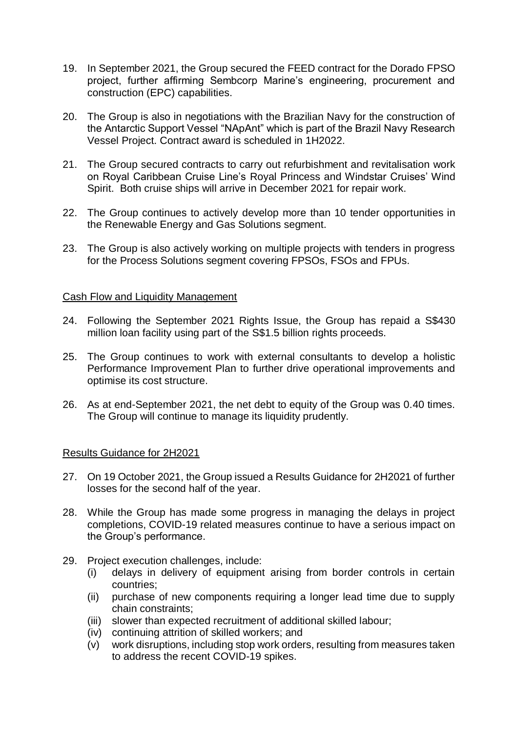- 19. In September 2021, the Group secured the FEED contract for the Dorado FPSO project, further affirming Sembcorp Marine's engineering, procurement and construction (EPC) capabilities.
- 20. The Group is also in negotiations with the Brazilian Navy for the construction of the Antarctic Support Vessel "NApAnt" which is part of the Brazil Navy Research Vessel Project. Contract award is scheduled in 1H2022.
- 21. The Group secured contracts to carry out refurbishment and revitalisation work on Royal Caribbean Cruise Line's Royal Princess and Windstar Cruises' Wind Spirit. Both cruise ships will arrive in December 2021 for repair work.
- 22. The Group continues to actively develop more than 10 tender opportunities in the Renewable Energy and Gas Solutions segment.
- 23. The Group is also actively working on multiple projects with tenders in progress for the Process Solutions segment covering FPSOs, FSOs and FPUs.

#### Cash Flow and Liquidity Management

- 24. Following the September 2021 Rights Issue, the Group has repaid a S\$430 million loan facility using part of the S\$1.5 billion rights proceeds.
- 25. The Group continues to work with external consultants to develop a holistic Performance Improvement Plan to further drive operational improvements and optimise its cost structure.
- 26. As at end-September 2021, the net debt to equity of the Group was 0.40 times. The Group will continue to manage its liquidity prudently.

#### Results Guidance for 2H2021

- 27. On 19 October 2021, the Group issued a Results Guidance for 2H2021 of further losses for the second half of the year.
- 28. While the Group has made some progress in managing the delays in project completions, COVID-19 related measures continue to have a serious impact on the Group's performance.
- 29. Project execution challenges, include:
	- (i) delays in delivery of equipment arising from border controls in certain countries;
	- (ii) purchase of new components requiring a longer lead time due to supply chain constraints;
	- (iii) slower than expected recruitment of additional skilled labour;
	- (iv) continuing attrition of skilled workers; and
	- (v) work disruptions, including stop work orders, resulting from measures taken to address the recent COVID-19 spikes.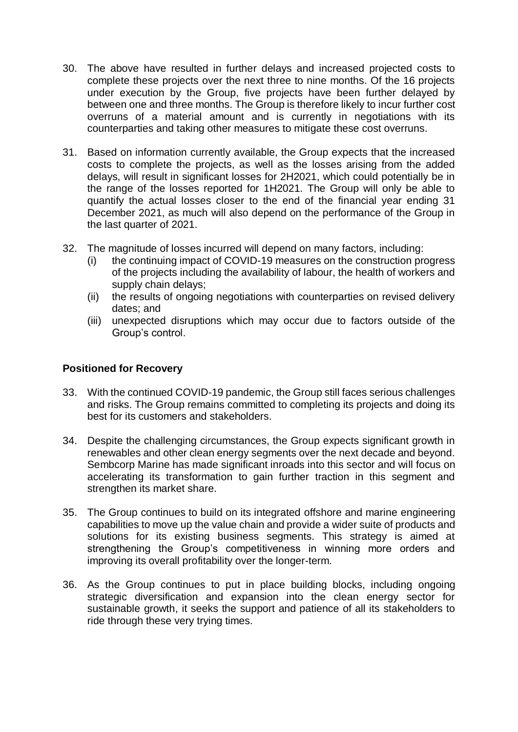- 30. The above have resulted in further delays and increased projected costs to complete these projects over the next three to nine months. Of the 16 projects under execution by the Group, five projects have been further delayed by between one and three months. The Group is therefore likely to incur further cost overruns of a material amount and is currently in negotiations with its counterparties and taking other measures to mitigate these cost overruns.
- 31. Based on information currently available, the Group expects that the increased costs to complete the projects, as well as the losses arising from the added delays, will result in significant losses for 2H2021, which could potentially be in the range of the losses reported for 1H2021. The Group will only be able to quantify the actual losses closer to the end of the financial year ending 31 December 2021, as much will also depend on the performance of the Group in the last quarter of 2021.
- 32. The magnitude of losses incurred will depend on many factors, including:
	- (i) the continuing impact of COVID-19 measures on the construction progress of the projects including the availability of labour, the health of workers and supply chain delays;
	- (ii) the results of ongoing negotiations with counterparties on revised delivery dates; and
	- (iii) unexpected disruptions which may occur due to factors outside of the Group's control.

# **Positioned for Recovery**

- 33. With the continued COVID-19 pandemic, the Group still faces serious challenges and risks. The Group remains committed to completing its projects and doing its best for its customers and stakeholders.
- 34. Despite the challenging circumstances, the Group expects significant growth in renewables and other clean energy segments over the next decade and beyond. Sembcorp Marine has made significant inroads into this sector and will focus on accelerating its transformation to gain further traction in this segment and strengthen its market share.
- 35. The Group continues to build on its integrated offshore and marine engineering capabilities to move up the value chain and provide a wider suite of products and solutions for its existing business segments. This strategy is aimed at strengthening the Group's competitiveness in winning more orders and improving its overall profitability over the longer-term.
- 36. As the Group continues to put in place building blocks, including ongoing strategic diversification and expansion into the clean energy sector for sustainable growth, it seeks the support and patience of all its stakeholders to ride through these very trying times.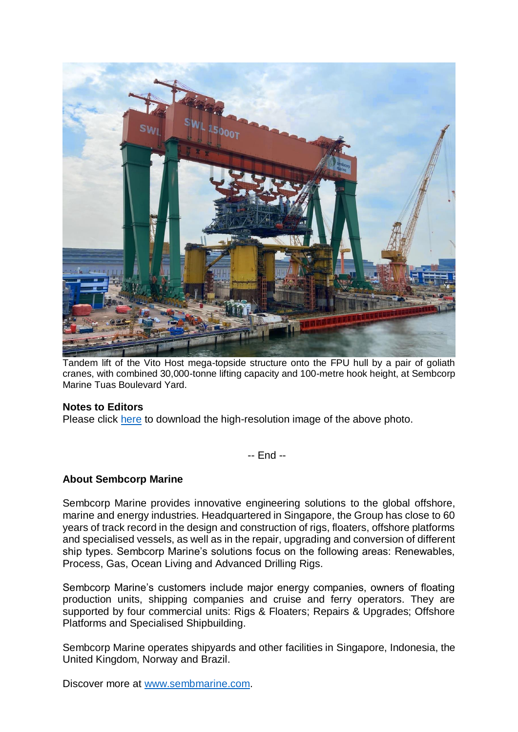

Tandem lift of the Vito Host mega-topside structure onto the FPU hull by a pair of goliath cranes, with combined 30,000-tonne lifting capacity and 100-metre hook height, at Sembcorp Marine Tuas Boulevard Yard.

# **Notes to Editors**

Please click [here](https://drive.google.com/file/d/1m4FrvHGZYaDW4s1lT81QOklVnV93JsVU/view?usp=sharing) to download the high-resolution image of the above photo.

-- End --

# **About Sembcorp Marine**

Sembcorp Marine provides innovative engineering solutions to the global offshore, marine and energy industries. Headquartered in Singapore, the Group has close to 60 years of track record in the design and construction of rigs, floaters, offshore platforms and specialised vessels, as well as in the repair, upgrading and conversion of different ship types. Sembcorp Marine's solutions focus on the following areas: Renewables, Process, Gas, Ocean Living and Advanced Drilling Rigs.

Sembcorp Marine's customers include major energy companies, owners of floating production units, shipping companies and cruise and ferry operators. They are supported by four commercial units: Rigs & Floaters; Repairs & Upgrades; Offshore Platforms and Specialised Shipbuilding.

Sembcorp Marine operates shipyards and other facilities in Singapore, Indonesia, the United Kingdom, Norway and Brazil.

Discover more at [www.sembmarine.com.](http://www.sembmarine.com/)